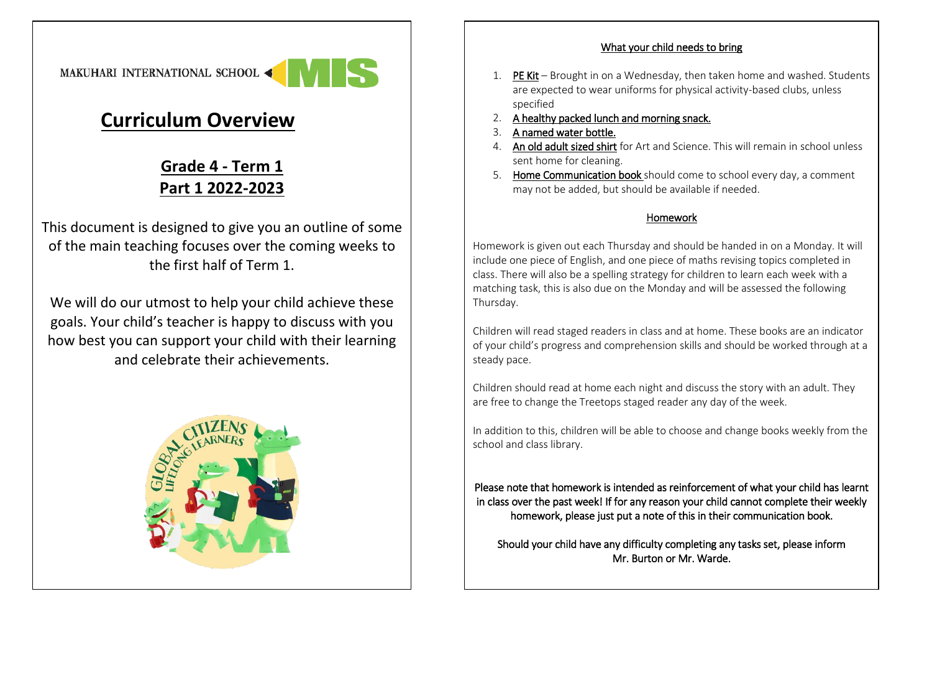

## **Curriculum Overview**

## **Grade 4 - Term 1 Part 1 2022-2023**

This document is designed to give you an outline of some of the main teaching focuses over the coming weeks to the first half of Term 1.

We will do our utmost to help your child achieve these goals. Your child's teacher is happy to discuss with you how best you can support your child with their learning and celebrate their achievements.



## What your child needs to bring

- 1. PE Kit Brought in on a Wednesday, then taken home and washed. Students are expected to wear uniforms for physical activity-based clubs, unless specified
- 2. A healthy packed lunch and morning snack.
- 3. A named water bottle.
- 4. An old adult sized shirt for Art and Science. This will remain in school unless sent home for cleaning.
- 5. Home Communication book should come to school every day, a comment may not be added, but should be available if needed.

## Homework

Homework is given out each Thursday and should be handed in on a Monday. It will include one piece of English, and one piece of maths revising topics completed in class. There will also be a spelling strategy for children to learn each week with a matching task, this is also due on the Monday and will be assessed the following Thursday.

Children will read staged readers in class and at home. These books are an indicator of your child's progress and comprehension skills and should be worked through at a steady pace.

Children should read at home each night and discuss the story with an adult. They are free to change the Treetops staged reader any day of the week.

In addition to this, children will be able to choose and change books weekly from the school and class library.

Please note that homework is intended as reinforcement of what your child has learnt in class over the past week! If for any reason your child cannot complete their weekly homework, please just put a note of this in their communication book.

Should your child have any difficulty completing any tasks set, please inform Mr. Burton or Mr. Warde.